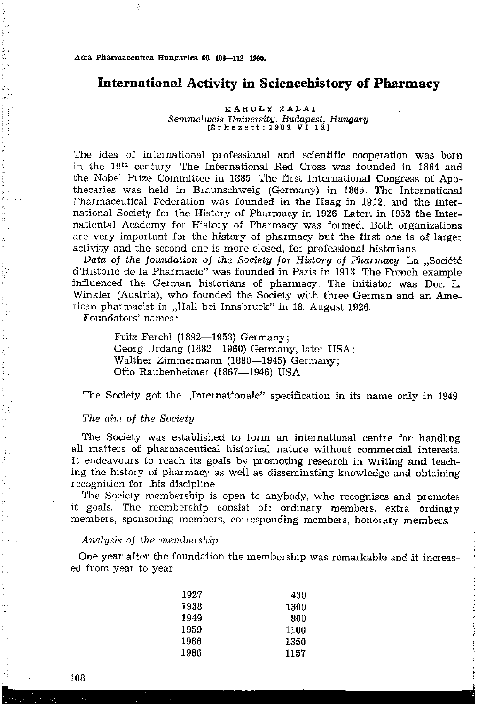Acta Pharmaceutica Hungarica 60, 108-112, 1990.

ř

# International Activity in Sciencehistory of Pharmacy

#### KAROLY ZALAI Semmelweis University. Budapest, Hungary [Érkezett: 1989. VÎ. 13]

The idea of international professional and scientific cooperation was born in the 19<sup>th</sup> century. The International Red Cross was founded in 1864 and the Nobel Prize Committee in 1885 The first International Congress of Apothecaries was held in Braunschweig (Germany) in 1865. The International Pharmaceutical Federation was founded in the Haag in 1912, and the International Society for the History of Pharmacy in 1926. Later, in 1952 the Internationtal Academy for History of Pharmacy was formed. Both organizations are very important for the history of pharmacy but the first one is of larger activity and the second one is more closed, for professional historians.

Data of the foundation of the Society for History of Pharmacy. La "Société d'Historie de la Pharmacie" was founded in Paris in 1913. The French example influenced the German historians of pharmacy. The initiator was Doc. L. Winkler (Austria), who founded the Society with three German and an American pharmacist in "Hall bei Innsbruck" in 18. August 1926.

Foundators' names:

Fritz Ferchl (1892-1953) Germany; Georg Urdang (1882-1960) Germany, later USA; Walther Zimmermann (1890-1945) Germany; Otto Raubenheimer (1867—1946) USA.

The Society got the "Internationale" specification in its name only in 1949.

#### The aim of the Society:

The Society was established to form an international centre for handling all matters of pharmaceutical historical nature without commercial interests. It endeavours to reach its goals by promoting research in writing and teaching the history of pharmacy as well as disseminating knowledge and obtaining recognition for this discipline

The Society membership is open to anybody, who recognises and promotes it goals. The membership consist of: ordinary members, extra ordinary members, sponsoring members, corresponding members, honorary members.

#### Analysis of the membership

One year after the foundation the membership was remarkable and it increased from year to year

| 1927 | 430  |
|------|------|
| 1938 | 1300 |
| 1949 | 800  |
| 1959 | 1100 |
| 1966 | 1350 |
| 1986 | 1157 |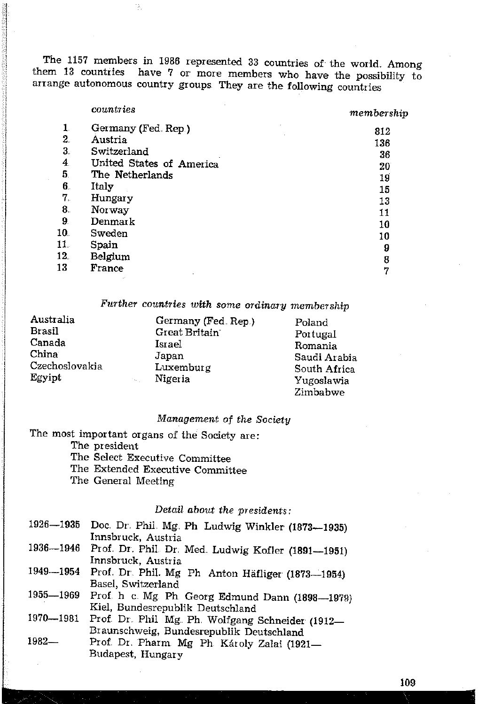The 1157 members in 1986 represented 33 countries of the world. Among them 13 countries have 7 or more members who have the possibility to arrange autonomous country groups They are the following countries

### countries

B.

# $membership$

|                 | Germany (Fed. Rep.)      | 812 |
|-----------------|--------------------------|-----|
| $2_{\cdot}$     | Austria                  | 136 |
| 3.              | Switzerland              | 36  |
| 4               | United States of America | 20  |
| 5.              | The Netherlands          | 19  |
| 6.              | Italy                    | 15  |
| 7.              | Hungary                  | 13  |
| 8.              | Norway                   | 11  |
| 9.              | Denmark                  | 10  |
| 10.             | Sweden                   | 10  |
| 11.             | Spain                    | 9   |
| 12 <sub>1</sub> | Belgium                  | 8   |
| 13              | France                   | ٠,  |
|                 |                          |     |

Further countries with some ordinary membership

| Australia      | Germany (Fed. Rep.) | Poland       |
|----------------|---------------------|--------------|
| Brasil         | Great Britain       | Portugal     |
| Canada         | Israel              | Romania      |
| China          | Japan               | Saudi Arabia |
| Czechoslovakia | Luxemburg           | South Africa |
| Egyipt         | Nigeria<br>ta.      | Yugoslawia   |
|                |                     | Zimbabwe     |

## Management of the Society

The most important organs of the Society are: The president

The Select Executive Committee

The Extended Executive Committee

The General Meeting

## Detail about the presidents:

| 1926-1935 | Doc. Dr. Phil. Mg. Ph Ludwig Winkler (1873-1935)   |
|-----------|----------------------------------------------------|
|           | Innsbruck, Austria                                 |
| 1936-1946 | Prof. Dr. Phil. Dr. Med. Ludwig Kofler (1891-1951) |
|           | Innsbruck, Austria                                 |
| 1949-1954 | Prof. Dr. Phil. Mg Ph Anton Häfliger (1873-1954)   |
|           | Basel, Switzerland                                 |
| 1955—1969 | Prof. h c. Mg. Ph. Georg Edmund Dann (1898-1978)   |
|           | Kiel, Bundesrepublik Deutschland                   |
| 1970-1981 | Prof. Dr. Phil Mg. Ph. Wolfgang Schneider (1912-   |
|           | Braunschweig, Bundesrepublik Deutschland           |
| 1982—     | Prof. Dr. Pharm Mg Ph. Károly Zalai (1921-         |
|           | Budapest, Hungary                                  |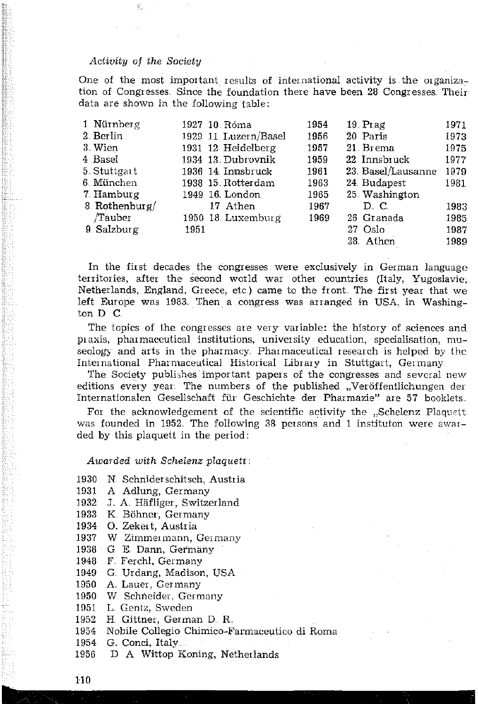### Activity of the Society

One of the most important results of international activity is the organization of Congresses. Since the foundation there have been 28 Congresses. Their data are shown in the following table:

| 1 Nürnberg    | 1927 10 Róma         | 1954 | 19 Prag           | 1971 |
|---------------|----------------------|------|-------------------|------|
| 2 Berlin      | 1929 11 Luzern/Basel | 1956 | 20 Paris          | 1973 |
| 3 Wien        | 1931 12 Heidelberg   | 1957 | 21 Brema          | 1975 |
| 4 Basel       | 1934 13 Dubrovnik    | 1959 | 22 Innsbruck      | 1977 |
| 5. Stuttgart  | 1936 14 Innsbruck    | 1961 | 23 Basel/Lausanne | 1979 |
| 6 München     | 1938 15 Rotterdam    | 1963 | 24 Budapest       | 1981 |
| 7 Hamburg     | 1949 16 London       | 1965 | 25 Washington     |      |
| 8 Rothenburg/ | 17 Athen             | 1967 | D. C.             | 1983 |
| /Tauber       | 1950 18 Luxemburg    | 1969 | 26 Granada        | 1985 |
| 9. Salzburg   | 1951                 |      | 27 Oslo           | 1987 |
|               |                      |      | 28 Athen          | 1989 |

In the first decades the congresses were exclusively in German language territories, after the second world war other countries (Italy, Yugoslavie, Netherlands, England, Greece, etc.) came to the front. The first year that we left Europe was 1983. Then a congress was arranged in USA, in Washington D C.

The topics of the congresses are very variable: the history of sciences and praxis, pharmaceutical institutions, university education, specialisation, museology and arts in the pharmacy. Pharmaceutical research is helped by the International Pharmaceutical Historical Library in Stuttgart, Germany

The Society publishes important papers of the congresses and several new editions every year. The numbers of the published "Veröffentlichungen der Internationalen Gesellschaft für Geschichte der Pharmazie" are 57 booklets.

For the acknowledgement of the scientific activity the "Schelenz Plaquett was founded in 1952. The following 38 persons and 1 instituton were awarded by this plaquett in the period:

### Awarded with Schelenz plaquett:

- 1930 N. Schniderschitsch, Austria
- 1931 A Adlung, Germany
- J. A. Häfliger, Switzerland 1932
- 1933 K Böhner, Germany
- 1934 O. Zekert, Austria
- W Zimmermann, Germany 1937
- G. E. Dann, Germany 1938
- F. Ferchl, Germany 1948
- G. Urdang, Madison, USA 1949
- 1950 A. Lauer, Germany
- 1950 W. Schneider, Germany
- 1951 L. Gentz, Sweden
- H. Gittner, German D. R. 1952
- Nobile Collegio Chimico-Farmaceutico di Roma 1954
- 1954 G. Conci, Italy
- 1956 D A Wittop Koning, Netherlands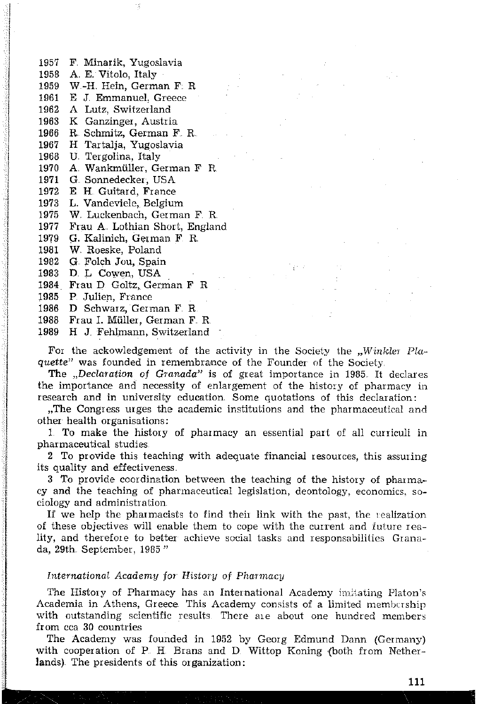- 1957 F. Minarik, Yugoslavia
- 1958 A. E. Vitolo, Italy
- 1959 W-H. Hein. German F. R.

X

- 1961 E J. Emmanuel, Greece
- 1962 A Lutz, Switzerland
- 1963 K Ganzinger, Austria
- R. Schmitz, German F. R. 1966
- H Tartalja, Yugoslavia 1967
- 1968 U. Tergolina, Italy
- 1970 A. Wankmüller, German F. R.
- 1971 G. Sonnedecker, USA
- 1972 E. H. Guitard, France
- 1973 L. Vandeviele, Belgium
- 1975 W. Luckenbach, German F. R.
- 1977 Frau A. Lothian Short, England
- 1979 G. Kalinich, German F. R.
- 1981 W. Roeske, Poland
- 1982 G. Folch Jou, Spain
- 1983 D L Cowen, USA
- 1984 Frau D. Goltz, German F R
- 1985 P. Julien, France
- 1986 D Schwarz, German F. R.
- 1988 Frau I. Müller, German F. R.
- 1989 H J. Fehlmann, Switzerland

For the ackowledgement of the activity in the Society the "Winkler Plaquette" was founded in remembrance of the Founder of the Society.

The "Declaration of Granada" is of great importance in 1985. It declares the importance and necessity of enlargement of the history of pharmacy in research and in university education. Some quotations of this declaration:

"The Congress urges the academic institutions and the pharmaceutical and other health organisations:

1. To make the history of pharmacy an essential part of all curriculi in pharmaceutical studies.

2 To provide this teaching with adequate financial resources, this assuring its quality and effectiveness.

3 To provide coordination between the teaching of the history of pharmacy and the teaching of pharmaceutical legislation, deontology, economics, sociology and administration.

If we help the pharmacists to find their link with the past, the realization of these objectives will enable them to cope with the current and future reality, and therefore to better achieve social tasks and responsabilities Granada, 29th. September, 1985"

### International Academy for History of Pharmacy

The History of Pharmacy has an International Academy initiating Platon's Academia in Athens, Greece. This Academy consists of a limited membership with outstanding scientific results. There are about one hundred members from cca 30 countries

The Academy was founded in 1952 by Georg Edmund Dann (Germany) with cooperation of P. H. Brans and D. Wittop Koning (both from Netherlands). The presidents of this organization: